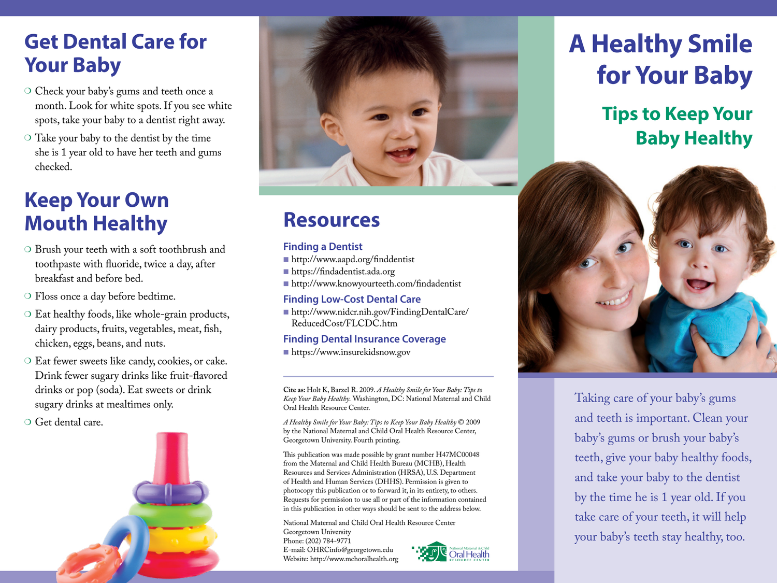# **Get Dental Care for Your Baby**

- O Check your baby's gums and teeth once a month. Look for white spots. If you see white spots, take your baby to a dentist right away.
- $\circ$  Take your baby to the dentist by the time she is 1 year old to have her teeth and gums checked.

### **Keep Your Own Mouth Healthy**

- O Brush your teeth with a soft toothbrush and toothpaste with fluoride, twice a day, after breakfast and before bed.
- $\circ$  Floss once a day before bedtime.
- O Eat healthy foods, like whole-grain products, dairy products, fruits, vegetables, meat, fish, chicken, eggs, beans, and nuts.
- O Eat fewer sweets like candy, cookies, or cake. Drink fewer sugary drinks like fruit-flavored drinks or pop (soda). Eat sweets or drink sugary drinks at mealtimes only.
- $\circ$  Get dental care.





### **Resources**

#### **Finding a Dentist**

- <sup>n</sup> <http://www.aapd.org/finddentist>
- <sup>n</sup> <https://findadentist.ada.org>
- <sup>n</sup> <http://www.knowyourteeth.com/findadentist>

#### **Finding Low-Cost Dental Care**

<sup>n</sup> [http://www.nidcr.nih.gov/FindingDentalCare/](http://www.nidcr.nih.gov/FindingDentalCare/ReducedCost/FLCDC.htm) [ReducedCost/FLCDC.htm](http://www.nidcr.nih.gov/FindingDentalCare/ReducedCost/FLCDC.htm)

#### **Finding Dental Insurance Coverage**

<sup>n</sup> <https://www.insurekidsnow.gov>

**Cite as:** Holt K, Barzel R. 2009. *A Healthy Smile for Your Baby: Tips to Keep Your Baby Healthy.* Washington, DC: National Maternal and Child Oral Health Resource Center.

*A Healthy Smile for Your Baby: Tips to Keep Your Baby Healthy* © 2009 by the National Maternal and Child Oral Health Resource Center, Georgetown University. Fourth printing.

This publication was made possible by grant number H47MC00048 from the Maternal and Child Health Bureau (MCHB), Health Resources and Services Administration (HRSA), U.S. Department of Health and Human Services (DHHS). Permission is given to photocopy this publication or to forward it, in its entirety, to others. Requests for permission to use all or part of the information contained in this publication in other ways should be sent to the address below.

National Maternal and Child Oral Health Resource Center Georgetown University Phone: (202) 784-9771 E-mail: [OHRCinfo@georgetown.edu](mailto:OHRCinfo@georgetown.edu) Website: <http://www.mchoralhealth.org>



# **A Healthy Smile for Your Baby**

### **Tips to Keep Your Baby Healthy**



Taking care of your baby's gums and teeth is important. Clean your baby's gums or brush your baby's teeth, give your baby healthy foods, and take your baby to the dentist by the time he is 1 year old. If you take care of your teeth, it will help your baby's teeth stay healthy, too.